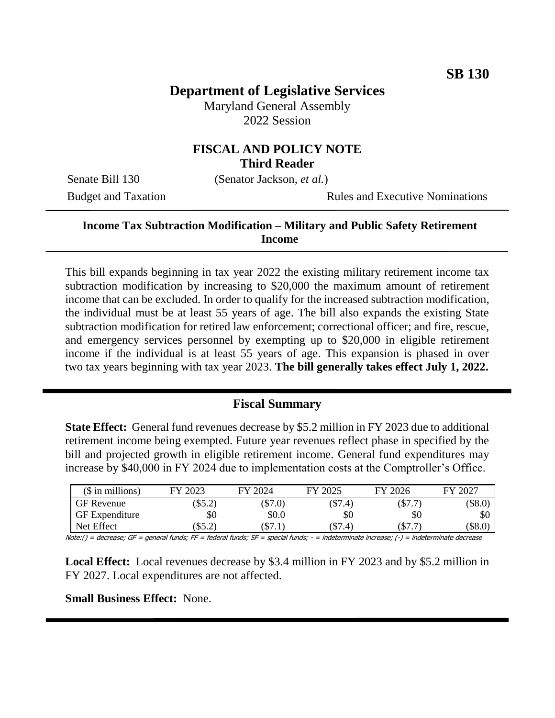## **Department of Legislative Services**

Maryland General Assembly 2022 Session

### **FISCAL AND POLICY NOTE Third Reader**

Senate Bill 130 (Senator Jackson, *et al.*)

Budget and Taxation Rules and Executive Nominations

### **Income Tax Subtraction Modification – Military and Public Safety Retirement Income**

This bill expands beginning in tax year 2022 the existing military retirement income tax subtraction modification by increasing to \$20,000 the maximum amount of retirement income that can be excluded. In order to qualify for the increased subtraction modification, the individual must be at least 55 years of age. The bill also expands the existing State subtraction modification for retired law enforcement; correctional officer; and fire, rescue, and emergency services personnel by exempting up to \$20,000 in eligible retirement income if the individual is at least 55 years of age. This expansion is phased in over two tax years beginning with tax year 2023. **The bill generally takes effect July 1, 2022.**

### **Fiscal Summary**

**State Effect:** General fund revenues decrease by \$5.2 million in FY 2023 due to additional retirement income being exempted. Future year revenues reflect phase in specified by the bill and projected growth in eligible retirement income. General fund expenditures may increase by \$40,000 in FY 2024 due to implementation costs at the Comptroller's Office.

| $($$ in millions)                                                                                                                   | FY 2023 | FY 2024   | FY 2025   | FY 2026 | FY 2027 |
|-------------------------------------------------------------------------------------------------------------------------------------|---------|-----------|-----------|---------|---------|
| <b>GF</b> Revenue                                                                                                                   | \$5.2)  | $(\$7.0)$ | $(\$7.4)$ | (\$7.7  | (S8.0,  |
| <b>GF</b> Expenditure                                                                                                               | \$0     | \$0.0     | \$0       | \$0     | \$0     |
| Net Effect                                                                                                                          | \$5.2   | (\$7.1)   | (\$7.4)   | (\$7.7  | ′S8.0   |
| Uetaille designers CE sourcel fundor FE fodorel fundor CE supplet fundor<br>in determinete de eneres<br>indeterminete in messee. () |         |           |           |         |         |

= federal funds; SF = special funds; - = indeterminate increase; (-)

**Local Effect:** Local revenues decrease by \$3.4 million in FY 2023 and by \$5.2 million in FY 2027. Local expenditures are not affected.

**Small Business Effect:** None.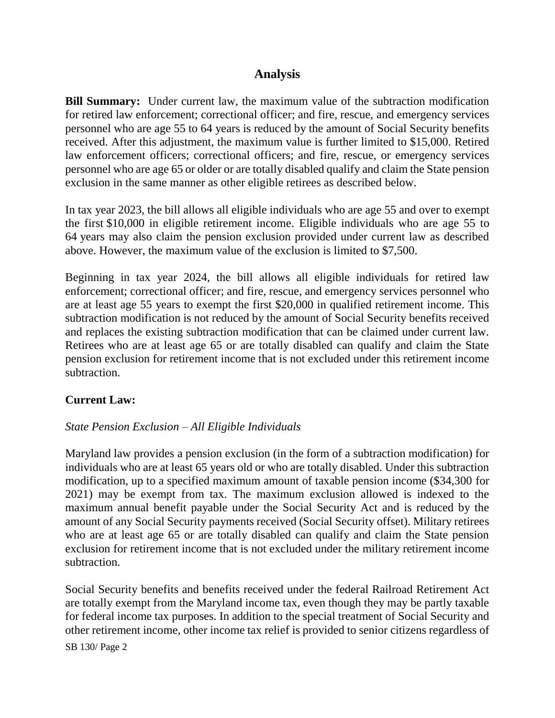### **Analysis**

**Bill Summary:** Under current law, the maximum value of the subtraction modification for retired law enforcement; correctional officer; and fire, rescue, and emergency services personnel who are age 55 to 64 years is reduced by the amount of Social Security benefits received. After this adjustment, the maximum value is further limited to \$15,000. Retired law enforcement officers; correctional officers; and fire, rescue, or emergency services personnel who are age 65 or older or are totally disabled qualify and claim the State pension exclusion in the same manner as other eligible retirees as described below.

In tax year 2023, the bill allows all eligible individuals who are age 55 and over to exempt the first \$10,000 in eligible retirement income. Eligible individuals who are age 55 to 64 years may also claim the pension exclusion provided under current law as described above. However, the maximum value of the exclusion is limited to \$7,500.

Beginning in tax year 2024, the bill allows all eligible individuals for retired law enforcement; correctional officer; and fire, rescue, and emergency services personnel who are at least age 55 years to exempt the first \$20,000 in qualified retirement income. This subtraction modification is not reduced by the amount of Social Security benefits received and replaces the existing subtraction modification that can be claimed under current law. Retirees who are at least age 65 or are totally disabled can qualify and claim the State pension exclusion for retirement income that is not excluded under this retirement income subtraction.

### **Current Law:**

### *State Pension Exclusion – All Eligible Individuals*

Maryland law provides a pension exclusion (in the form of a subtraction modification) for individuals who are at least 65 years old or who are totally disabled. Under this subtraction modification, up to a specified maximum amount of taxable pension income (\$34,300 for 2021) may be exempt from tax. The maximum exclusion allowed is indexed to the maximum annual benefit payable under the Social Security Act and is reduced by the amount of any Social Security payments received (Social Security offset). Military retirees who are at least age 65 or are totally disabled can qualify and claim the State pension exclusion for retirement income that is not excluded under the military retirement income subtraction.

Social Security benefits and benefits received under the federal Railroad Retirement Act are totally exempt from the Maryland income tax, even though they may be partly taxable for federal income tax purposes. In addition to the special treatment of Social Security and other retirement income, other income tax relief is provided to senior citizens regardless of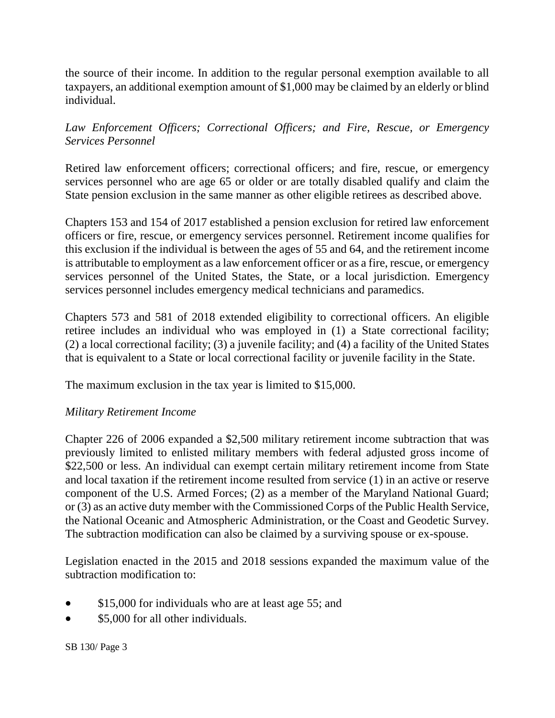the source of their income. In addition to the regular personal exemption available to all taxpayers, an additional exemption amount of \$1,000 may be claimed by an elderly or blind individual.

*Law Enforcement Officers; Correctional Officers; and Fire, Rescue, or Emergency Services Personnel*

Retired law enforcement officers; correctional officers; and fire, rescue, or emergency services personnel who are age 65 or older or are totally disabled qualify and claim the State pension exclusion in the same manner as other eligible retirees as described above.

Chapters 153 and 154 of 2017 established a pension exclusion for retired law enforcement officers or fire, rescue, or emergency services personnel. Retirement income qualifies for this exclusion if the individual is between the ages of 55 and 64, and the retirement income is attributable to employment as a law enforcement officer or as a fire, rescue, or emergency services personnel of the United States, the State, or a local jurisdiction. Emergency services personnel includes emergency medical technicians and paramedics.

Chapters 573 and 581 of 2018 extended eligibility to correctional officers. An eligible retiree includes an individual who was employed in (1) a State correctional facility; (2) a local correctional facility; (3) a juvenile facility; and (4) a facility of the United States that is equivalent to a State or local correctional facility or juvenile facility in the State.

The maximum exclusion in the tax year is limited to \$15,000.

### *Military Retirement Income*

Chapter 226 of 2006 expanded a \$2,500 military retirement income subtraction that was previously limited to enlisted military members with federal adjusted gross income of \$22,500 or less. An individual can exempt certain military retirement income from State and local taxation if the retirement income resulted from service (1) in an active or reserve component of the U.S. Armed Forces; (2) as a member of the Maryland National Guard; or (3) as an active duty member with the Commissioned Corps of the Public Health Service, the National Oceanic and Atmospheric Administration, or the Coast and Geodetic Survey. The subtraction modification can also be claimed by a surviving spouse or ex-spouse.

Legislation enacted in the 2015 and 2018 sessions expanded the maximum value of the subtraction modification to:

- \$15,000 for individuals who are at least age 55; and
- \$5,000 for all other individuals.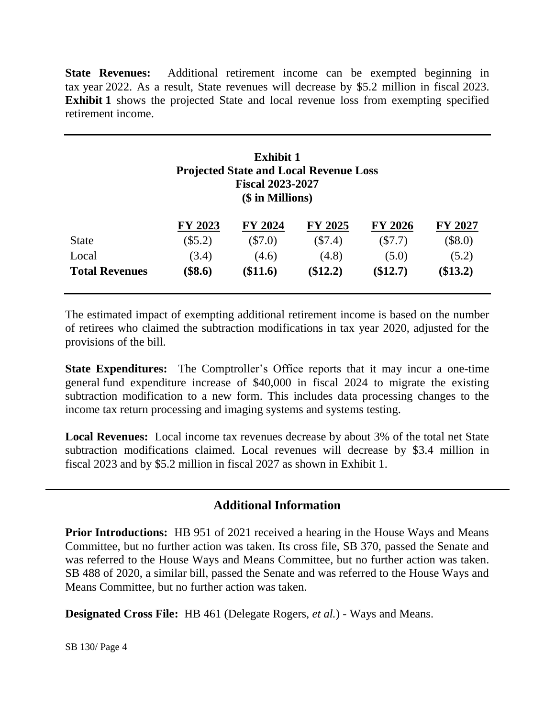**State Revenues:** Additional retirement income can be exempted beginning in tax year 2022. As a result, State revenues will decrease by \$5.2 million in fiscal 2023. **Exhibit 1** shows the projected State and local revenue loss from exempting specified retirement income.

|                       | <b>Exhibit 1</b><br><b>Projected State and Local Revenue Loss</b><br><b>Fiscal 2023-2027</b><br>(\$ in Millions) |            |           |                |           |  |
|-----------------------|------------------------------------------------------------------------------------------------------------------|------------|-----------|----------------|-----------|--|
|                       | FY 2023                                                                                                          | FY 2024    | FY 2025   | <b>FY 2026</b> | FY 2027   |  |
| <b>State</b>          | (\$5.2)                                                                                                          | $(\$7.0)$  | $(\$7.4)$ | $(\$7.7)$      | $(\$8.0)$ |  |
| Local                 | (3.4)                                                                                                            | (4.6)      | (4.8)     | (5.0)          | (5.2)     |  |
| <b>Total Revenues</b> | $(\$8.6)$                                                                                                        | $(\$11.6)$ | $\$12.2)$ | (\$12.7)       | (\$13.2)  |  |

The estimated impact of exempting additional retirement income is based on the number of retirees who claimed the subtraction modifications in tax year 2020, adjusted for the provisions of the bill.

**State Expenditures:** The Comptroller's Office reports that it may incur a one-time general fund expenditure increase of \$40,000 in fiscal 2024 to migrate the existing subtraction modification to a new form. This includes data processing changes to the income tax return processing and imaging systems and systems testing.

**Local Revenues:** Local income tax revenues decrease by about 3% of the total net State subtraction modifications claimed. Local revenues will decrease by \$3.4 million in fiscal 2023 and by \$5.2 million in fiscal 2027 as shown in Exhibit 1.

# **Additional Information**

**Prior Introductions:** HB 951 of 2021 received a hearing in the House Ways and Means Committee, but no further action was taken. Its cross file, SB 370, passed the Senate and was referred to the House Ways and Means Committee, but no further action was taken. SB 488 of 2020, a similar bill, passed the Senate and was referred to the House Ways and Means Committee, but no further action was taken.

**Designated Cross File:** HB 461 (Delegate Rogers, *et al.*) - Ways and Means.